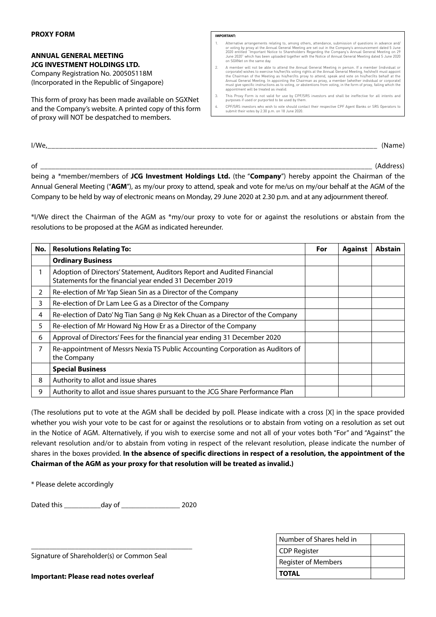## **ANNUAL GENERAL MEETING JCG INVESTMENT HOLDINGS LTD.**

Company Registration No. 200505118M (Incorporated in the Republic of Singapore)

This form of proxy has been made available on SGXNet and the Company's website. A printed copy of this form of proxy will NOT be despatched to members.

1. Alternative arrangements relating to, among others, attendance, submission of questions in advance and/<br>or voting by proxy at the Annual General Meeting are set out in the Company's announcement dated 5 June<br>2020 entitl on SGXNet on the same day.

2. A member will not be able to attend the Annual General Meeting in person. If a member (individual or corporate) wishes to exercise his/her/its voting rights at the Annual General Meeting, he/she/it men corporate) the Ch must give specific instructions as to voting, or abstentions from voting, in the form of proxy, failing which the appointment will be treated as invalid.

3. This Proxy Form is not valid for use by CPF/SRS investors and shall be ineffective for all intents and purposes if used or purported to be used by them.

4. CPF/SRS investors who wish to vote should contact their respective CPF Agent Banks or SRS Operators to submit their votes by 2.30 p.m. on 18 June 2020.

| I/We<br>_________<br>_______ | в<br>$$ ulle $"$ |
|------------------------------|------------------|
|                              |                  |
|                              |                  |

of \_\_\_\_\_\_\_\_\_\_\_\_\_\_\_\_\_\_\_\_\_\_\_\_\_\_\_\_\_\_\_\_\_\_\_\_\_\_\_\_\_\_\_\_\_\_\_\_\_\_\_\_\_\_\_\_\_\_\_\_\_\_\_\_\_\_\_\_\_\_\_\_\_\_\_\_\_\_\_\_\_\_\_\_\_\_\_\_ (Address)

being a \*member/members of **JCG Investment Holdings Ltd.** (the "**Company**") hereby appoint the Chairman of the Annual General Meeting ("**AGM**"), as my/our proxy to attend, speak and vote for me/us on my/our behalf at the AGM of the Company to be held by way of electronic means on Monday, 29 June 2020 at 2.30 p.m. and at any adjournment thereof.

\*I/We direct the Chairman of the AGM as \*my/our proxy to vote for or against the resolutions or abstain from the resolutions to be proposed at the AGM as indicated hereunder.

| No. | <b>Resolutions Relating To:</b>                                                                                                     | For | <b>Against</b> | <b>Abstain</b> |
|-----|-------------------------------------------------------------------------------------------------------------------------------------|-----|----------------|----------------|
|     | <b>Ordinary Business</b>                                                                                                            |     |                |                |
| 1   | Adoption of Directors' Statement, Auditors Report and Audited Financial<br>Statements for the financial year ended 31 December 2019 |     |                |                |
| 2   | Re-election of Mr Yap Siean Sin as a Director of the Company                                                                        |     |                |                |
| 3   | Re-election of Dr Lam Lee G as a Director of the Company                                                                            |     |                |                |
| 4   | Re-election of Dato' Ng Tian Sang @ Ng Kek Chuan as a Director of the Company                                                       |     |                |                |
| 5   | Re-election of Mr Howard Ng How Er as a Director of the Company                                                                     |     |                |                |
| 6   | Approval of Directors' Fees for the financial year ending 31 December 2020                                                          |     |                |                |
| 7   | Re-appointment of Messrs Nexia TS Public Accounting Corporation as Auditors of<br>the Company                                       |     |                |                |
|     | <b>Special Business</b>                                                                                                             |     |                |                |
| 8   | Authority to allot and issue shares                                                                                                 |     |                |                |
| 9   | Authority to allot and issue shares pursuant to the JCG Share Performance Plan                                                      |     |                |                |

(The resolutions put to vote at the AGM shall be decided by poll. Please indicate with a cross [X] in the space provided whether you wish your vote to be cast for or against the resolutions or to abstain from voting on a resolution as set out in the Notice of AGM. Alternatively, if you wish to exercise some and not all of your votes both "For" and "Against" the relevant resolution and/or to abstain from voting in respect of the relevant resolution, please indicate the number of shares in the boxes provided. **In the absence of specific directions in respect of a resolution, the appointment of the Chairman of the AGM as your proxy for that resolution will be treated as invalid.)**

\* Please delete accordingly

Dated this day of 2020

\_\_\_\_\_\_\_\_\_\_\_\_\_\_\_\_\_\_\_\_\_\_\_\_\_\_\_\_\_\_\_\_\_\_\_\_\_\_\_\_\_\_\_\_

Signature of Shareholder(s) or Common Seal

| Number of Shares held in |  |
|--------------------------|--|
| <b>CDP Register</b>      |  |
| Register of Members      |  |
| <b>TOTAL</b>             |  |

**Important: Please read notes overleaf**